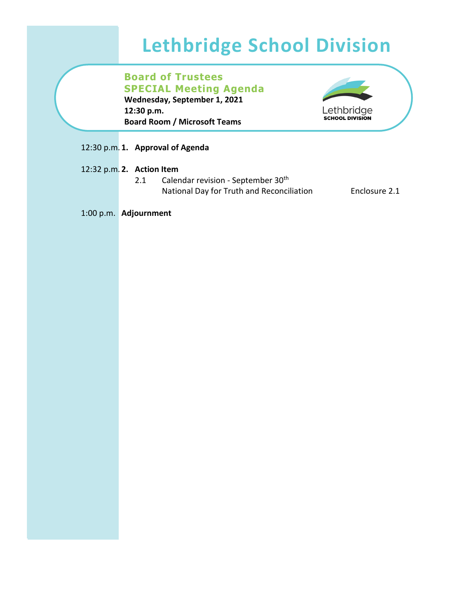# **Lethbridge School Division**

**Board of Trustees SPECIAL Meeting Agenda Wednesday, September 1, 2021 12:30 p.m. Board Room / Microsoft Teams**



## 12:30 p.m. **1. Approval of Agenda**

- 12:32 p.m. **2. Action Item**
	- 2.1 Calendar revision September 30<sup>th</sup> National Day for Truth and Reconciliation Enclosure 2.1

1:00 p.m. **Adjournment**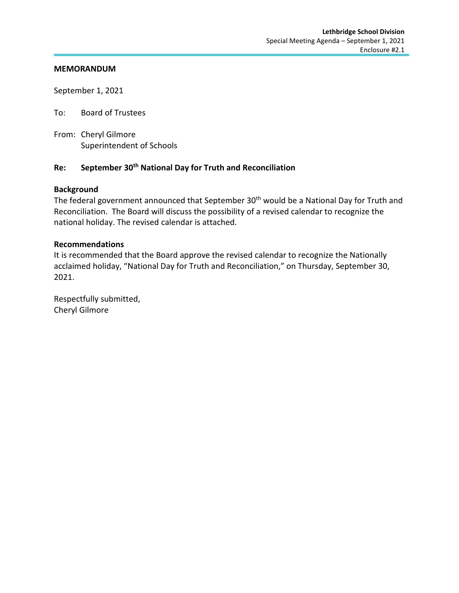#### **MEMORANDUM**

September 1, 2021

To: Board of Trustees

From: Cheryl Gilmore Superintendent of Schools

## **Re: September 30th National Day for Truth and Reconciliation**

### **Background**

The federal government announced that September 30<sup>th</sup> would be a National Day for Truth and Reconciliation. The Board will discuss the possibility of a revised calendar to recognize the national holiday. The revised calendar is attached.

### **Recommendations**

It is recommended that the Board approve the revised calendar to recognize the Nationally acclaimed holiday, "National Day for Truth and Reconciliation," on Thursday, September 30, 2021.

Respectfully submitted, Cheryl Gilmore